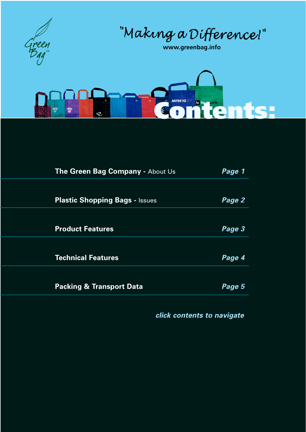

"Making a Difference!"

**www.greenbag.info**



| Page 1 |
|--------|
|        |
| Page 2 |
|        |
| Page 3 |
|        |
| Page 4 |
|        |
| Page 5 |
|        |

*click contents to navigate*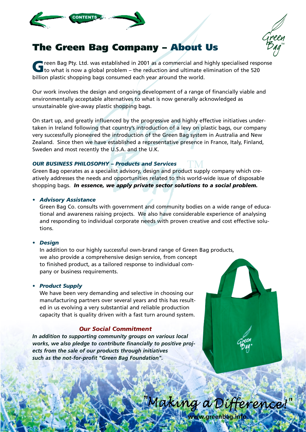<span id="page-1-0"></span>

# **The Green Bag Company – About Us**

**G** reen Bag Pty. Ltd. was established in 2001 as a commercial and highly specialised response<br>to what is now a global problem – the reduction and ultimate elimination of the 520 billion plastic shopping bags consumed each year around the world.

Our work involves the design and ongoing development of a range of financially viable and environmentally acceptable alternatives to what is now generally acknowledged as unsustainable give-away plastic shopping bags.

On start up, and greatly influenced by the progressive and highly effective initiatives undertaken in Ireland following that country's introduction of a levy on plastic bags, our company very successfully pioneered the introduction of the Green Bag system in Australia and New Zealand. Since then we have established a representative presence in France, Italy, Finland, Sweden and most recently the U.S.A. and the U.K.

### *OUR BUSINESS PHILOSOPHY – Products and Services*

Green Bag operates as a specialist advisory, design and product supply company which creatively addresses the needs and opportunities related to this world-wide issue of disposable shopping bags. *In essence, we apply private sector solutions to a social problem.*

### *• Advisory Assistance*

Green Bag Co. consults with government and community bodies on a wide range of educational and awareness raising projects. We also have considerable experience of analysing and responding to individual corporate needs with proven creative and cost effective solutions.

### *• Design*

In addition to our highly successful own-brand range of Green Bag products, we also provide a comprehensive design service, from concept to finished product, as a tailored response to individual company or business requirements.

### *• Product Supply*

We have been very demanding and selective in choosing our manufacturing partners over several years and this has resulted in us evolving a very substantial and reliable production capacity that is quality driven with a fast turn around system.

### *Our Social Commitment*

*In addition to supporting community groups on various local works, we also pledge to contribute financially to positive projects from the sale of our products through initiatives such as the not-for-profit "Green Bag Foundation".*



www.greenbag.i

"Making a Difference!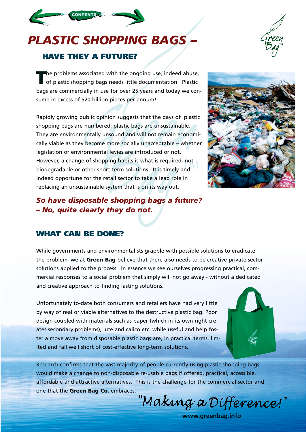# <span id="page-2-0"></span>*PLASTIC SHOPPING BAGS –*



**CONTENTS** 

The problems associated with the ongoing use, indeed abuse,<br>
of plastic shopping bags needs little documentation. Plastic bags are commercially in use for over 25 years and today we consume in excess of 520 billion pieces per annum!

Rapidly growing public opinion suggests that the days of plastic shopping bags are numbered; plastic bags are unsustainable. They are environmentally unsound and will not remain economically viable as they become more socially unacceptable – whether legislation or environmental levies are introduced or not. However, a change of shopping habits is what is required, not biodegradable or other short-term solutions. It is timely and indeed opportune for the retail sector to take a lead role in replacing an unsustainable system that is on its way out.

### *So have disposable shopping bags a future? – No, quite clearly they do not.*

### **WHAT CAN BE DONE?**

While governments and environmentalists grapple with possible solutions to eradicate the problem, we at **Green Bag** believe that there also needs to be creative private sector solutions applied to the process. In essence we see ourselves progressing practical, commercial responses to a social problem that simply will not go away - without a dedicated and creative approach to finding lasting solutions.

Unfortunately to-date both consumers and retailers have had very little by way of real or viable alternatives to the destructive plastic bag. Poor design coupled with materials such as paper (which in its own right creates secondary problems), jute and calico etc. while useful and help foster a move away from disposable plastic bags are, in practical terms, limited and fall well short of cost-effective long-term solutions.

Research confirms that the vast majority of people currently using plastic shopping bags would make a change to non-disposable re-usable bags if offered, practical, accessible, affordable and attractive alternatives. This is the challenge for the commercial sector and one that the **Green Bag Co**. embraces.

"Making a Difference!"







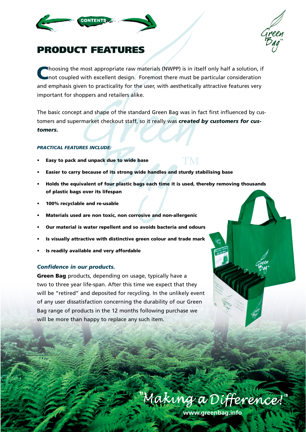<span id="page-3-0"></span>



# **PRODUCT FEATURES**

**C**hoosing the most appropriate raw materials (NWPP) is in itself only half a solution, if not coupled with excellent design. Foremost there must be particular consideration and emphasis given to practicality for the user, with aesthetically attractive features very important for shoppers and retailers alike.

The basic concept and shape of the standard Green Bag was in fact first influenced by customers and supermarket checkout staff, so it really was *created by customers for customers.*

#### *PRACTICAL FEATURES INCLUDE:*

- **Easy to pack and unpack due to wide base**
- **Easier to carry because of its strong wide handles and sturdy stabilising base**
- **Holds the equivalent of four plastic bags each time it is used, thereby removing thousands of plastic bags over its lifespan**
- **100% recyclable and re-usable**
- **Materials used are non toxic, non corrosive and non-allergenic**
- **Our material is water repellent and so avoids bacteria and odours**
- **Is visually attractive with distinctive green colour and trade mark**
- **Is readily available and very affordable**

#### *Confidence in our products.*

**Green Bag** products, depending on usage, typically have a two to three year life-span. After this time we expect that they will be "retired" and deposited for recycling. In the unlikely event of any user dissatisfaction concerning the durability of our Green Bag range of products in the 12 months following purchase we will be more than happy to replace any such item.

Making a Difference!"

**www.greenbag.info**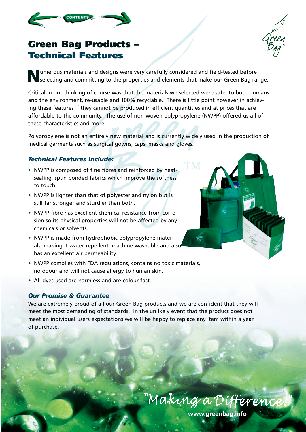<span id="page-4-0"></span>



# **Green Bag Products – Technical Features**

**N**umerous materials and designs were very carefully considered and field-tested before selecting and committing to the properties and elements that make our Green Bag range.

Critical in our thinking of course was that the materials we selected were safe, to both humans and the environment, re-usable and 100% recyclable. There is little point however in achieving these features if they cannot be produced in efficient quantities and at prices that are affordable to the community. The use of non-woven polypropylene (NWPP) offered us all of these characteristics and more.

Polypropylene is not an entirely new material and is currently widely used in the production of medical garments such as surgical gowns, caps, masks and gloves.

### *Technical Features include:*

- NWPP is composed of fine fibres and reinforced by heatsealing, spun bonded fabrics which improve the softness to touch.
- NWPP is lighter than that of polyester and nylon but is still far stronger and sturdier than both.
- NWPP fibre has excellent chemical resistance from corrosion so its physical properties will not be affected by any chemicals or solvents.
- NWPP is made from hydrophobic polypropylene materials, making it water repellent, machine washable and also has an excellent air permeability.
- NWPP complies with FDA regulations, contains no toxic materials, no odour and will not cause allergy to human skin.
- All dyes used are harmless and are colour fast.

### *Our Promise & Guarantee*

We are extremely proud of all our Green Bag products and we are confident that they will meet the most demanding of standards. In the unlikely event that the product does not meet an individual users expectations we will be happy to replace any item within a year of purchase.



**www.greenbag.info**

"Making a Differeni